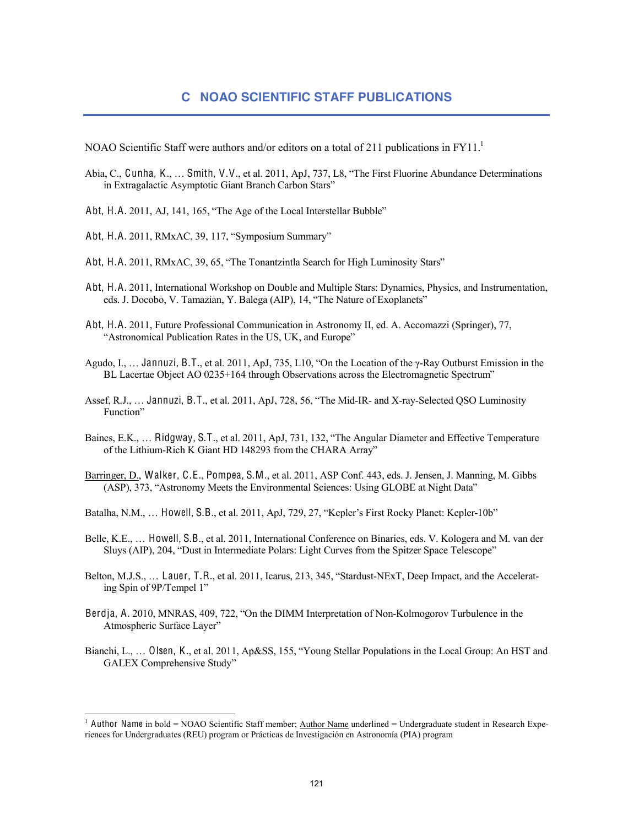NOAO Scientific Staff were authors and/or editors on a total of 211 publications in  $FY11<sup>1</sup>$ 

- Abia, C., Cunha, K., … Smith, V.V., et al. 2011, ApJ, 737, L8, "The First Fluorine Abundance Determinations in Extragalactic Asymptotic Giant Branch Carbon Stars"
- Abt, H.A. 2011, AJ, 141, 165, "The Age of the Local Interstellar Bubble"
- Abt, H.A. 2011, RMxAC, 39, 117, "Symposium Summary"
- Abt, H.A. 2011, RMxAC, 39, 65, "The Tonantzintla Search for High Luminosity Stars"
- Abt, H.A. 2011, International Workshop on Double and Multiple Stars: Dynamics, Physics, and Instrumentation, eds. J. Docobo, V. Tamazian, Y. Balega (AIP), 14, "The Nature of Exoplanets"
- Abt, H.A. 2011, Future Professional Communication in Astronomy II, ed. A. Accomazzi (Springer), 77, "Astronomical Publication Rates in the US, UK, and Europe"
- Agudo, I., … Jannuzi, B.T., et al. 2011, ApJ, 735, L10, "On the Location of the γ-Ray Outburst Emission in the BL Lacertae Object AO 0235+164 through Observations across the Electromagnetic Spectrum"
- Assef, R.J., … Jannuzi, B.T., et al. 2011, ApJ, 728, 56, "The Mid-IR- and X-ray-Selected QSO Luminosity Function"
- Baines, E.K., … Ridgway, S.T., et al. 2011, ApJ, 731, 132, "The Angular Diameter and Effective Temperature of the Lithium-Rich K Giant HD 148293 from the CHARA Array"
- Barringer, D., Walker, C.E., Pompea, S.M., et al. 2011, ASP Conf. 443, eds. J. Jensen, J. Manning, M. Gibbs (ASP), 373, "Astronomy Meets the Environmental Sciences: Using GLOBE at Night Data"
- Batalha, N.M., … Howell, S.B., et al. 2011, ApJ, 729, 27, "Kepler's First Rocky Planet: Kepler-10b"
- Belle, K.E., … Howell, S.B., et al. 2011, International Conference on Binaries, eds. V. Kologera and M. van der Sluys (AIP), 204, "Dust in Intermediate Polars: Light Curves from the Spitzer Space Telescope"
- Belton, M.J.S., … Lauer, T.R., et al. 2011, Icarus, 213, 345, "Stardust-NExT, Deep Impact, and the Accelerating Spin of 9P/Tempel 1"
- Berdja, A. 2010, MNRAS, 409, 722, "On the DIMM Interpretation of Non-Kolmogorov Turbulence in the Atmospheric Surface Layer"
- Bianchi, L., … Olsen, K., et al. 2011, Ap&SS, 155, "Young Stellar Populations in the Local Group: An HST and GALEX Comprehensive Study"

<sup>&</sup>lt;sup>1</sup> Author Name in bold = NOAO Scientific Staff member; Author Name underlined = Undergraduate student in Research Experiences for Undergraduates (REU) program or Prácticas de Investigación en Astronomía (PIA) program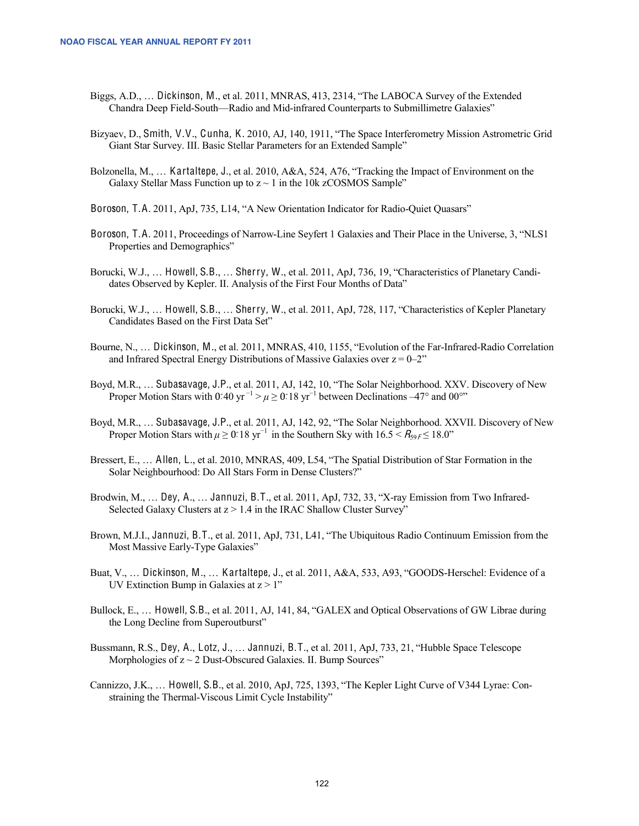- Biggs, A.D., … Dickinson, M., et al. 2011, MNRAS, 413, 2314, "The LABOCA Survey of the Extended Chandra Deep Field-South—Radio and Mid-infrared Counterparts to Submillimetre Galaxies"
- Bizyaev, D., Smith, V.V., Cunha, K. 2010, AJ, 140, 1911, "The Space Interferometry Mission Astrometric Grid Giant Star Survey. III. Basic Stellar Parameters for an Extended Sample"
- Bolzonella, M., … Kartaltepe, J., et al. 2010, A&A, 524, A76, "Tracking the Impact of Environment on the Galaxy Stellar Mass Function up to  $z \sim 1$  in the 10k zCOSMOS Sample"
- Boroson, T.A. 2011, ApJ, 735, L14, "A New Orientation Indicator for Radio-Quiet Quasars"
- Boroson, T.A. 2011, Proceedings of Narrow-Line Seyfert 1 Galaxies and Their Place in the Universe, 3, "NLS1 Properties and Demographics"
- Borucki, W.J., … Howell, S.B., … Sherry, W., et al. 2011, ApJ, 736, 19, "Characteristics of Planetary Candidates Observed by Kepler. II. Analysis of the First Four Months of Data"
- Borucki, W.J., … Howell, S.B., … Sherry, W., et al. 2011, ApJ, 728, 117, "Characteristics of Kepler Planetary Candidates Based on the First Data Set"
- Bourne, N., … Dickinson, M., et al. 2011, MNRAS, 410, 1155, "Evolution of the Far-Infrared-Radio Correlation and Infrared Spectral Energy Distributions of Massive Galaxies over  $z = 0-2$ "
- Boyd, M.R., … Subasavage, J.P., et al. 2011, AJ, 142, 10, "The Solar Neighborhood. XXV. Discovery of New Proper Motion Stars with 0<sup>o</sup> 40 yr<sup>-1</sup> >  $\mu \ge 0$ <sup>o</sup> 18 yr<sup>-1</sup> between Declinations -47° and 00°
- Boyd, M.R., … Subasavage, J.P., et al. 2011, AJ, 142, 92, "The Solar Neighborhood. XXVII. Discovery of New Proper Motion Stars with  $\mu \geq 0$ <sup>o</sup>: 18 yr<sup>-1</sup> in the Southern Sky with 16.5 <  $R_{59}$ <sub>f</sub> ≤ 18.0"
- Bressert, E., … Allen, L., et al. 2010, MNRAS, 409, L54, "The Spatial Distribution of Star Formation in the Solar Neighbourhood: Do All Stars Form in Dense Clusters?"
- Brodwin, M., ... Dey, A., ... Jannuzi, B.T., et al. 2011, ApJ, 732, 33, "X-ray Emission from Two Infrared-Selected Galaxy Clusters at  $z > 1.4$  in the IRAC Shallow Cluster Survey"
- Brown, M.J.I., Jannuzi, B.T., et al. 2011, ApJ, 731, L41, "The Ubiquitous Radio Continuum Emission from the Most Massive Early-Type Galaxies"
- Buat, V., … Dickinson, M., … Kartaltepe, J., et al. 2011, A&A, 533, A93, "GOODS-Herschel: Evidence of a UV Extinction Bump in Galaxies at  $z > 1$ "
- Bullock, E., … Howell, S.B., et al. 2011, AJ, 141, 84, "GALEX and Optical Observations of GW Librae during the Long Decline from Superoutburst"
- Bussmann, R.S., Dey, A., Lotz, J., … Jannuzi, B.T., et al. 2011, ApJ, 733, 21, "Hubble Space Telescope Morphologies of  $z \sim 2$  Dust-Obscured Galaxies. II. Bump Sources"
- Cannizzo, J.K., … Howell, S.B., et al. 2010, ApJ, 725, 1393, "The Kepler Light Curve of V344 Lyrae: Constraining the Thermal-Viscous Limit Cycle Instability"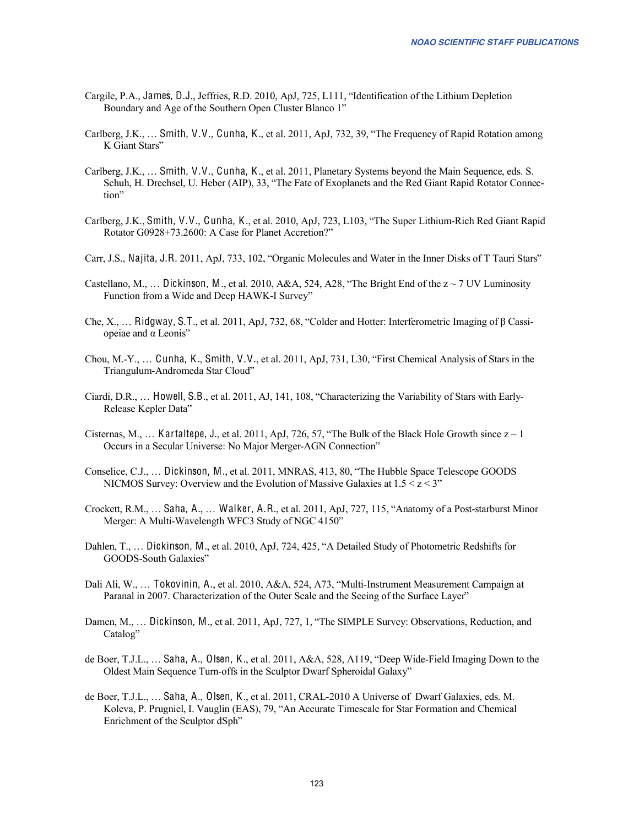- Cargile, P.A., James, D.J., Jeffries, R.D. 2010, ApJ, 725, L111, "Identification of the Lithium Depletion Boundary and Age of the Southern Open Cluster Blanco 1"
- Carlberg, J.K., … Smith, V.V., Cunha, K., et al. 2011, ApJ, 732, 39, "The Frequency of Rapid Rotation among K Giant Stars"
- Carlberg, J.K., … Smith, V.V., Cunha, K., et al. 2011, Planetary Systems beyond the Main Sequence, eds. S. Schuh, H. Drechsel, U. Heber (AIP), 33, "The Fate of Exoplanets and the Red Giant Rapid Rotator Connection"
- Carlberg, J.K., Smith, V.V., Cunha, K., et al. 2010, ApJ, 723, L103, "The Super Lithium-Rich Red Giant Rapid Rotator G0928+73.2600: A Case for Planet Accretion?"
- Carr, J.S., Najita, J.R. 2011, ApJ, 733, 102, "Organic Molecules and Water in the Inner Disks of T Tauri Stars"
- Castellano, M., ... Dickinson, M., et al. 2010, A&A, 524, A28, "The Bright End of the  $z \sim 7$  UV Luminosity Function from a Wide and Deep HAWK-I Survey"
- Che, X., … Ridgway, S.T., et al. 2011, ApJ, 732, 68, "Colder and Hotter: Interferometric Imaging of β Cassiopeiae and α Leonis"
- Chou, M.-Y., … Cunha, K., Smith, V.V., et al. 2011, ApJ, 731, L30, "First Chemical Analysis of Stars in the Triangulum-Andromeda Star Cloud"
- Ciardi, D.R., … Howell, S.B., et al. 2011, AJ, 141, 108, "Characterizing the Variability of Stars with Early-Release Kepler Data"
- Cisternas, M., ... Kartaltepe, J., et al. 2011, ApJ, 726, 57, "The Bulk of the Black Hole Growth since  $z \sim 1$ Occurs in a Secular Universe: No Major Merger-AGN Connection"
- Conselice, C.J., … Dickinson, M., et al. 2011, MNRAS, 413, 80, "The Hubble Space Telescope GOODS NICMOS Survey: Overview and the Evolution of Massive Galaxies at  $1.5 \le z \le 3$ "
- Crockett, R.M., … Saha, A., … Walker, A.R., et al. 2011, ApJ, 727, 115, "Anatomy of a Post-starburst Minor Merger: A Multi-Wavelength WFC3 Study of NGC 4150"
- Dahlen, T., … Dickinson, M., et al. 2010, ApJ, 724, 425, "A Detailed Study of Photometric Redshifts for GOODS-South Galaxies"
- Dali Ali, W., … Tokovinin, A., et al. 2010, A&A, 524, A73, "Multi-Instrument Measurement Campaign at Paranal in 2007. Characterization of the Outer Scale and the Seeing of the Surface Layer"
- Damen, M., … Dickinson, M., et al. 2011, ApJ, 727, 1, "The SIMPLE Survey: Observations, Reduction, and Catalog"
- de Boer, T.J.L., … Saha, A., Olsen, K., et al. 2011, A&A, 528, A119, "Deep Wide-Field Imaging Down to the Oldest Main Sequence Turn-offs in the Sculptor Dwarf Spheroidal Galaxy"
- de Boer, T.J.L., … Saha, A., Olsen, K., et al. 2011, CRAL-2010 A Universe of Dwarf Galaxies, eds. M. Koleva, P. Prugniel, I. Vauglin (EAS), 79, "An Accurate Timescale for Star Formation and Chemical Enrichment of the Sculptor dSph"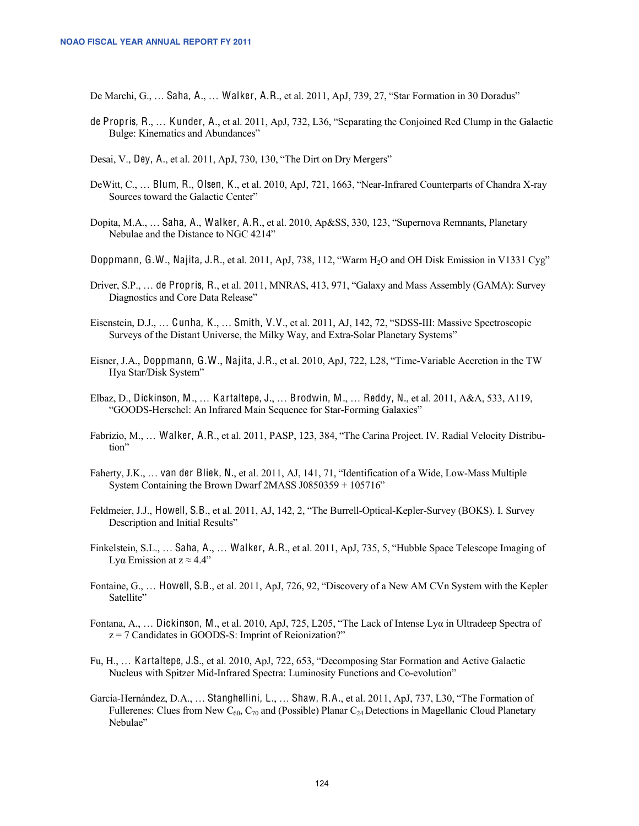De Marchi, G., … Saha, A., … Walker, A.R., et al. 2011, ApJ, 739, 27, "Star Formation in 30 Doradus"

- de Propris, R., … K under, A., et al. 2011, ApJ, 732, L36, "Separating the Conjoined Red Clump in the Galactic Bulge: Kinematics and Abundances"
- Desai, V., Dey, A., et al. 2011, ApJ, 730, 130, "The Dirt on Dry Mergers"
- DeWitt, C., … Blum, R., Olsen, K., et al. 2010, ApJ, 721, 1663, "Near-Infrared Counterparts of Chandra X-ray Sources toward the Galactic Center"
- Dopita, M.A., … Saha, A., Walker, A.R., et al. 2010, Ap&SS, 330, 123, "Supernova Remnants, Planetary Nebulae and the Distance to NGC 4214"
- Doppmann, G.W., Najita, J.R., et al. 2011, ApJ, 738, 112, "Warm H<sub>2</sub>O and OH Disk Emission in V1331 Cyg"
- Driver, S.P., … de Propris, R., et al. 2011, MNRAS, 413, 971, "Galaxy and Mass Assembly (GAMA): Survey Diagnostics and Core Data Release"
- Eisenstein, D.J., … Cunha, K., … Smith, V.V., et al. 2011, AJ, 142, 72, "SDSS-III: Massive Spectroscopic Surveys of the Distant Universe, the Milky Way, and Extra-Solar Planetary Systems"
- Eisner, J.A., Doppmann, G.W., Najita, J.R., et al. 2010, ApJ, 722, L28, "Time-Variable Accretion in the TW Hya Star/Disk System"
- Elbaz, D., Dickinson, M., … Kartaltepe, J., … Brodwin, M., … Reddy, N., et al. 2011, A&A, 533, A119, "GOODS-Herschel: An Infrared Main Sequence for Star-Forming Galaxies"
- Fabrizio, M., … Walker, A.R., et al. 2011, PASP, 123, 384, "The Carina Project. IV. Radial Velocity Distribution"
- Faherty, J.K., … van der Bliek, N., et al. 2011, AJ, 141, 71, "Identification of a Wide, Low-Mass Multiple System Containing the Brown Dwarf 2MASS J0850359 + 105716"
- Feldmeier, J.J., Howell, S.B., et al. 2011, AJ, 142, 2, "The Burrell-Optical-Kepler-Survey (BOKS). I. Survey Description and Initial Results"
- Finkelstein, S.L., … Saha, A., … Walker, A.R., et al. 2011, ApJ, 735, 5, "Hubble Space Telescope Imaging of Lyα Emission at  $z ≈ 4.4"$
- Fontaine, G., … Howell, S.B., et al. 2011, ApJ, 726, 92, "Discovery of a New AM CVn System with the Kepler Satellite"
- Fontana, A., … Dickinson, M., et al. 2010, ApJ, 725, L205, "The Lack of Intense Lyα in Ultradeep Spectra of  $z = 7$  Candidates in GOODS-S: Imprint of Reionization?"
- Fu, H., … Kartaltepe, J.S., et al. 2010, ApJ, 722, 653, "Decomposing Star Formation and Active Galactic Nucleus with Spitzer Mid-Infrared Spectra: Luminosity Functions and Co-evolution"
- García-Hernández, D.A., … Stanghellini, L., … Shaw, R.A., et al. 2011, ApJ, 737, L30, "The Formation of Fullerenes: Clues from New  $C_{60}$ ,  $C_{70}$  and (Possible) Planar  $C_{24}$  Detections in Magellanic Cloud Planetary Nebulae"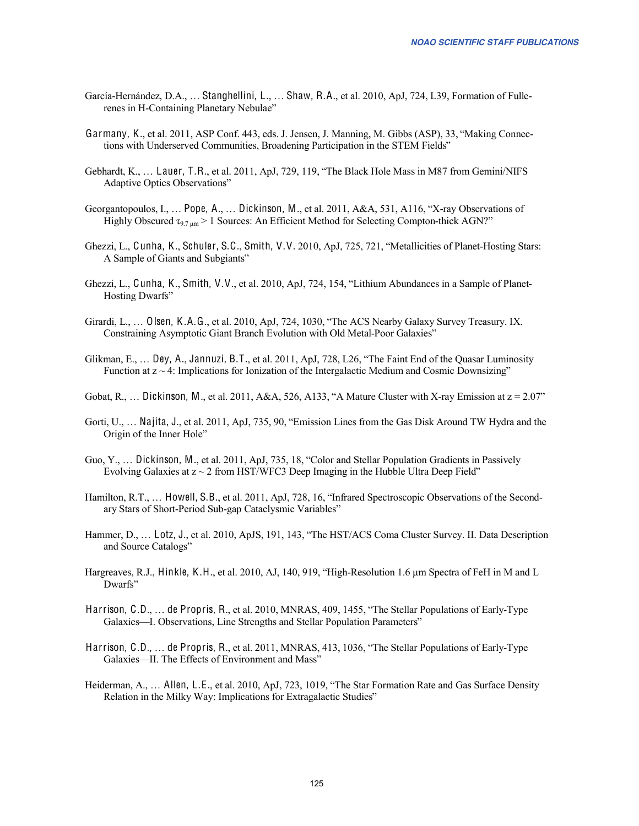- García-Hernández, D.A., … Stanghellini, L., … Shaw, R.A., et al. 2010, ApJ, 724, L39, Formation of Fullerenes in H-Containing Planetary Nebulae"
- Garmany, K., et al. 2011, ASP Conf. 443, eds. J. Jensen, J. Manning, M. Gibbs (ASP), 33, "Making Connections with Underserved Communities, Broadening Participation in the STEM Fields"
- Gebhardt, K., … Lauer, T.R., et al. 2011, ApJ, 729, 119, "The Black Hole Mass in M87 from Gemini/NIFS Adaptive Optics Observations"
- Georgantopoulos, I., … Pope, A., … Dickinson, M., et al. 2011, A&A, 531, A116, "X-ray Observations of Highly Obscured  $\tau_{9.7 \text{ µm}}$  > 1 Sources: An Efficient Method for Selecting Compton-thick AGN?"
- Ghezzi, L., Cunha, K., Schuler, S.C., Smith, V.V. 2010, ApJ, 725, 721, "Metallicities of Planet-Hosting Stars: A Sample of Giants and Subgiants"
- Ghezzi, L., Cunha, K., Smith, V.V., et al. 2010, ApJ, 724, 154, "Lithium Abundances in a Sample of Planet-Hosting Dwarfs"
- Girardi, L., … Olsen, K.A.G., et al. 2010, ApJ, 724, 1030, "The ACS Nearby Galaxy Survey Treasury. IX. Constraining Asymptotic Giant Branch Evolution with Old Metal-Poor Galaxies"
- Glikman, E., … Dey, A., Jannuzi, B.T., et al. 2011, ApJ, 728, L26, "The Faint End of the Quasar Luminosity Function at  $z \sim 4$ : Implications for Ionization of the Intergalactic Medium and Cosmic Downsizing"
- Gobat, R., ... Dickinson, M., et al. 2011, A&A, 526, A133, "A Mature Cluster with X-ray Emission at  $z = 2.07$ "
- Gorti, U., … Najita, J., et al. 2011, ApJ, 735, 90, "Emission Lines from the Gas Disk Around TW Hydra and the Origin of the Inner Hole"
- Guo, Y., … Dickinson, M., et al. 2011, ApJ, 735, 18, "Color and Stellar Population Gradients in Passively Evolving Galaxies at  $z \sim 2$  from HST/WFC3 Deep Imaging in the Hubble Ultra Deep Field"
- Hamilton, R.T., … Howell, S.B., et al. 2011, ApJ, 728, 16, "Infrared Spectroscopic Observations of the Secondary Stars of Short-Period Sub-gap Cataclysmic Variables"
- Hammer, D., … Lotz, J., et al. 2010, ApJS, 191, 143, "The HST/ACS Coma Cluster Survey. II. Data Description and Source Catalogs"
- Hargreaves, R.J., Hinkle, K.H., et al. 2010, AJ, 140, 919, "High-Resolution 1.6 μm Spectra of FeH in M and L Dwarfs"
- Harrison, C.D., … de Propris, R., et al. 2010, MNRAS, 409, 1455, "The Stellar Populations of Early-Type Galaxies—I. Observations, Line Strengths and Stellar Population Parameters"
- Harrison, C.D., … de Propris, R., et al. 2011, MNRAS, 413, 1036, "The Stellar Populations of Early-Type Galaxies—II. The Effects of Environment and Mass"
- Heiderman, A., … Allen, L.E., et al. 2010, ApJ, 723, 1019, "The Star Formation Rate and Gas Surface Density Relation in the Milky Way: Implications for Extragalactic Studies"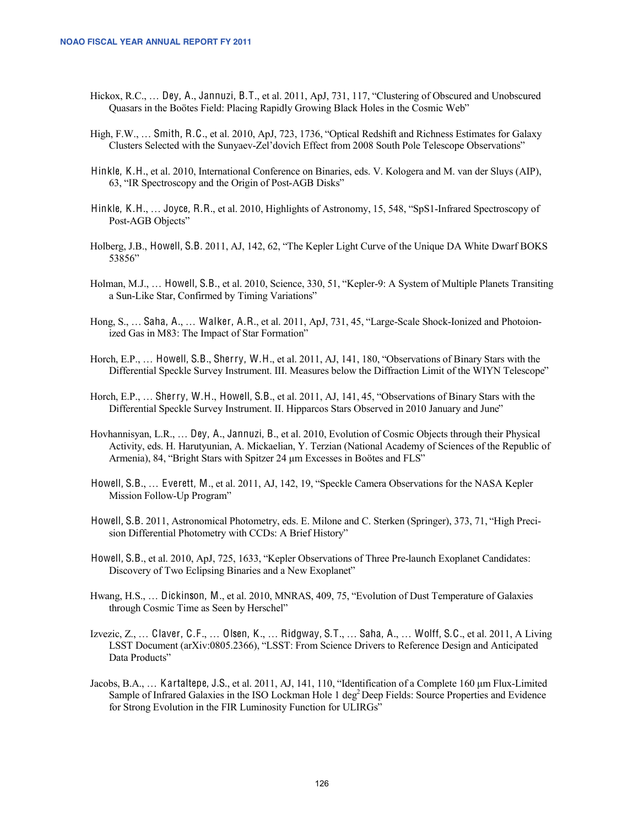- Hickox, R.C., … Dey, A., Jannuzi, B.T., et al. 2011, ApJ, 731, 117, "Clustering of Obscured and Unobscured Quasars in the Boötes Field: Placing Rapidly Growing Black Holes in the Cosmic Web"
- High, F.W., … Smith, R.C., et al. 2010, ApJ, 723, 1736, "Optical Redshift and Richness Estimates for Galaxy Clusters Selected with the Sunyaev-Zel'dovich Effect from 2008 South Pole Telescope Observations"
- Hinkle, K.H., et al. 2010, International Conference on Binaries, eds. V. Kologera and M. van der Sluys (AIP), 63, "IR Spectroscopy and the Origin of Post-AGB Disks"
- Hinkle, K.H., … Joyce, R.R., et al. 2010, Highlights of Astronomy, 15, 548, "SpS1-Infrared Spectroscopy of Post-AGB Objects"
- Holberg, J.B., Howell, S.B. 2011, AJ, 142, 62, "The Kepler Light Curve of the Unique DA White Dwarf BOKS 53856"
- Holman, M.J., … Howell, S.B., et al. 2010, Science, 330, 51, "Kepler-9: A System of Multiple Planets Transiting a Sun-Like Star, Confirmed by Timing Variations"
- Hong, S., … Saha, A., … Walker, A.R., et al. 2011, ApJ, 731, 45, "Large-Scale Shock-Ionized and Photoionized Gas in M83: The Impact of Star Formation"
- Horch, E.P., … Howell, S.B., Sherry, W.H., et al. 2011, AJ, 141, 180, "Observations of Binary Stars with the Differential Speckle Survey Instrument. III. Measures below the Diffraction Limit of the WIYN Telescope"
- Horch, E.P., … Sherry, W.H., Howell, S.B., et al. 2011, AJ, 141, 45, "Observations of Binary Stars with the Differential Speckle Survey Instrument. II. Hipparcos Stars Observed in 2010 January and June"
- Hovhannisyan, L.R., … Dey, A., Jannuzi, B., et al. 2010, Evolution of Cosmic Objects through their Physical Activity, eds. H. Harutyunian, A. Mickaelian, Y. Terzian (National Academy of Sciences of the Republic of Armenia), 84, "Bright Stars with Spitzer 24 μm Excesses in Boötes and FLS"
- Howell, S.B., … Everett, M., et al. 2011, AJ, 142, 19, "Speckle Camera Observations for the NASA Kepler Mission Follow-Up Program"
- Howell, S.B. 2011, Astronomical Photometry, eds. E. Milone and C. Sterken (Springer), 373, 71, "High Precision Differential Photometry with CCDs: A Brief History"
- Howell, S.B., et al. 2010, ApJ, 725, 1633, "Kepler Observations of Three Pre-launch Exoplanet Candidates: Discovery of Two Eclipsing Binaries and a New Exoplanet"
- Hwang, H.S., … Dickinson, M., et al. 2010, MNRAS, 409, 75, "Evolution of Dust Temperature of Galaxies through Cosmic Time as Seen by Herschel"
- Izvezic, Z., … Claver, C.F., … Olsen, K., … Ridgway, S.T., … Saha, A., … Wolff, S.C., et al. 2011, A Living LSST Document (arXiv:0805.2366), "LSST: From Science Drivers to Reference Design and Anticipated Data Products"
- Jacobs, B.A., … Kartaltepe, J.S., et al. 2011, AJ, 141, 110, "Identification of a Complete 160 μm Flux-Limited Sample of Infrared Galaxies in the ISO Lockman Hole 1 deg<sup>2</sup> Deep Fields: Source Properties and Evidence for Strong Evolution in the FIR Luminosity Function for ULIRGs"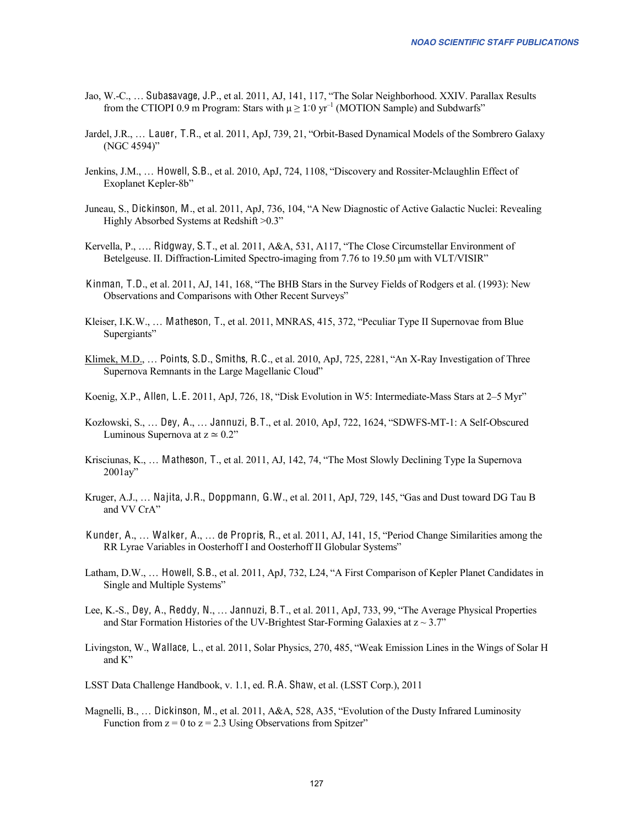- Jao, W.-C., … Subasavage, J.P., et al. 2011, AJ, 141, 117, "The Solar Neighborhood. XXIV. Parallax Results from the CTIOPI 0.9 m Program: Stars with  $\mu \geq 1.0 \text{ yr}^{-1}$  (MOTION Sample) and Subdwarfs"
- Jardel, J.R., … Lauer, T.R., et al. 2011, ApJ, 739, 21, "Orbit-Based Dynamical Models of the Sombrero Galaxy (NGC 4594)"
- Jenkins, J.M., … Howell, S.B., et al. 2010, ApJ, 724, 1108, "Discovery and Rossiter-Mclaughlin Effect of Exoplanet Kepler-8b"
- Juneau, S., Dickinson, M., et al. 2011, ApJ, 736, 104, "A New Diagnostic of Active Galactic Nuclei: Revealing Highly Absorbed Systems at Redshift > 0.3"
- Kervella, P., …. Ridgway, S.T., et al. 2011, A&A, 531, A117, "The Close Circumstellar Environment of Betelgeuse. II. Diffraction-Limited Spectro-imaging from 7.76 to 19.50 μm with VLT/VISIR"
- Kinman, T.D., et al. 2011, AJ, 141, 168, "The BHB Stars in the Survey Fields of Rodgers et al. (1993): New Observations and Comparisons with Other Recent Surveys"
- Kleiser, I.K.W., … Matheson, T., et al. 2011, MNRAS, 415, 372, "Peculiar Type II Supernovae from Blue Supergiants"
- Klimek, M.D., … Points, S.D., Smiths, R.C., et al. 2010, ApJ, 725, 2281, "An X-Ray Investigation of Three Supernova Remnants in the Large Magellanic Cloud"
- Koenig, X.P., Allen, L.E. 2011, ApJ, 726, 18, "Disk Evolution in W5: Intermediate-Mass Stars at 2–5 Myr"
- Kozłowski, S., … Dey, A., … Jannuzi, B.T., et al. 2010, ApJ, 722, 1624, "SDWFS-MT-1: A Self-Obscured Luminous Supernova at  $z \approx 0.2$ "
- Krisciunas, K., … Matheson, T., et al. 2011, AJ, 142, 74, "The Most Slowly Declining Type Ia Supernova 2001ay"
- Kruger, A.J., … Najita, J.R., Doppmann, G.W., et al. 2011, ApJ, 729, 145, "Gas and Dust toward DG Tau B and VV CrA"
- Kunder, A., … Walker, A., … de Propris, R., et al. 2011, AJ, 141, 15, "Period Change Similarities among the RR Lyrae Variables in Oosterhoff I and Oosterhoff II Globular Systems"
- Latham, D.W., … Howell, S.B., et al. 2011, ApJ, 732, L24, "A First Comparison of Kepler Planet Candidates in Single and Multiple Systems"
- Lee, K.-S., Dey, A., Reddy, N., … Jannuzi, B.T., et al. 2011, ApJ, 733, 99, "The Average Physical Properties and Star Formation Histories of the UV-Brightest Star-Forming Galaxies at  $z \sim 3.7$ "
- Livingston, W., Wallace, L., et al. 2011, Solar Physics, 270, 485, "Weak Emission Lines in the Wings of Solar H and K"
- LSST Data Challenge Handbook, v. 1.1, ed. R.A. Shaw, et al. (LSST Corp.), 2011
- Magnelli, B., … Dickinson, M., et al. 2011, A&A, 528, A35, "Evolution of the Dusty Infrared Luminosity Function from  $z = 0$  to  $z = 2.3$  Using Observations from Spitzer"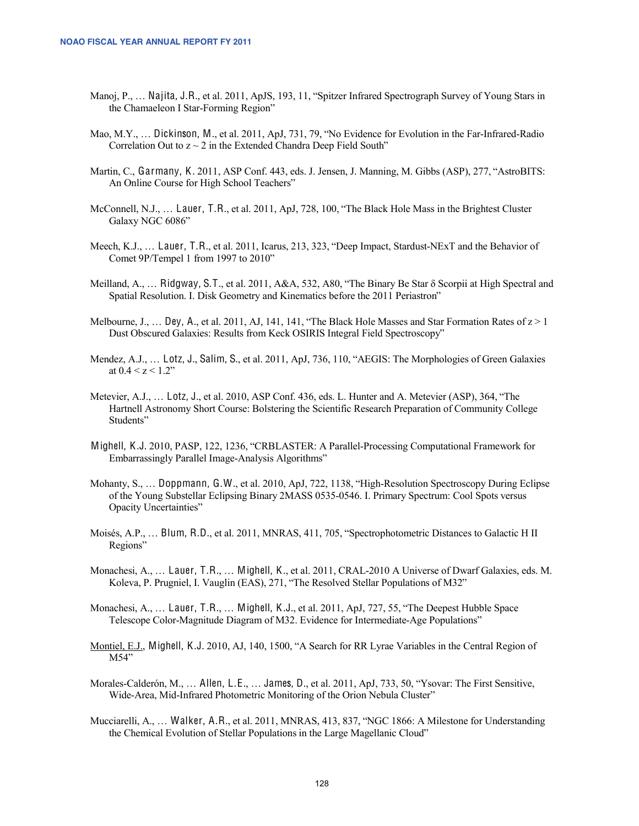- Manoj, P., … Najita, J.R., et al. 2011, ApJS, 193, 11, "Spitzer Infrared Spectrograph Survey of Young Stars in the Chamaeleon I Star-Forming Region"
- Mao, M.Y., … Dickinson, M., et al. 2011, ApJ, 731, 79, "No Evidence for Evolution in the Far-Infrared-Radio Correlation Out to  $z \sim 2$  in the Extended Chandra Deep Field South"
- Martin, C., Garmany, K. 2011, ASP Conf. 443, eds. J. Jensen, J. Manning, M. Gibbs (ASP), 277, "AstroBITS: An Online Course for High School Teachers"
- McConnell, N.J., … Lauer, T.R., et al. 2011, ApJ, 728, 100, "The Black Hole Mass in the Brightest Cluster Galaxy NGC 6086"
- Meech, K.J., … Lauer, T.R., et al. 2011, Icarus, 213, 323, "Deep Impact, Stardust-NExT and the Behavior of Comet 9P/Tempel 1 from 1997 to 2010"
- Meilland, A., … Ridgway, S.T., et al. 2011, A&A, 532, A80, "The Binary Be Star δ Scorpii at High Spectral and Spatial Resolution. I. Disk Geometry and Kinematics before the 2011 Periastron"
- Melbourne, J., ... Dey, A., et al. 2011, AJ, 141, 141, "The Black Hole Masses and Star Formation Rates of  $z > 1$ Dust Obscured Galaxies: Results from Keck OSIRIS Integral Field Spectroscopy"
- Mendez, A.J., … Lotz, J., Salim, S., et al. 2011, ApJ, 736, 110, "AEGIS: The Morphologies of Green Galaxies at  $0.4 < z < 1.2$ "
- Metevier, A.J., … Lotz, J., et al. 2010, ASP Conf. 436, eds. L. Hunter and A. Metevier (ASP), 364, "The Hartnell Astronomy Short Course: Bolstering the Scientific Research Preparation of Community College Students"
- Mighell, K.J. 2010, PASP, 122, 1236, "CRBLASTER: A Parallel-Processing Computational Framework for Embarrassingly Parallel Image-Analysis Algorithms"
- Mohanty, S., … Doppmann, G.W., et al. 2010, ApJ, 722, 1138, "High-Resolution Spectroscopy During Eclipse of the Young Substellar Eclipsing Binary 2MASS 0535-0546. I. Primary Spectrum: Cool Spots versus Opacity Uncertainties"
- Moisés, A.P., … Blum, R.D., et al. 2011, MNRAS, 411, 705, "Spectrophotometric Distances to Galactic H II Regions"
- Monachesi, A., … Lauer, T.R., … Mighell, K., et al. 2011, CRAL-2010 A Universe of Dwarf Galaxies, eds. M. Koleva, P. Prugniel, I. Vauglin (EAS), 271, "The Resolved Stellar Populations of M32"
- Monachesi, A., … Lauer, T.R., … Mighell, K.J., et al. 2011, ApJ, 727, 55, "The Deepest Hubble Space Telescope Color-Magnitude Diagram of M32. Evidence for Intermediate-Age Populations"
- Montiel, E.J., Mighell, K.J. 2010, AJ, 140, 1500, "A Search for RR Lyrae Variables in the Central Region of M54"
- Morales-Calderón, M., … Allen, L.E., … James, D., et al. 2011, ApJ, 733, 50, "Ysovar: The First Sensitive, Wide-Area, Mid-Infrared Photometric Monitoring of the Orion Nebula Cluster"
- Mucciarelli, A., … Walker, A.R., et al. 2011, MNRAS, 413, 837, "NGC 1866: A Milestone for Understanding the Chemical Evolution of Stellar Populations in the Large Magellanic Cloud"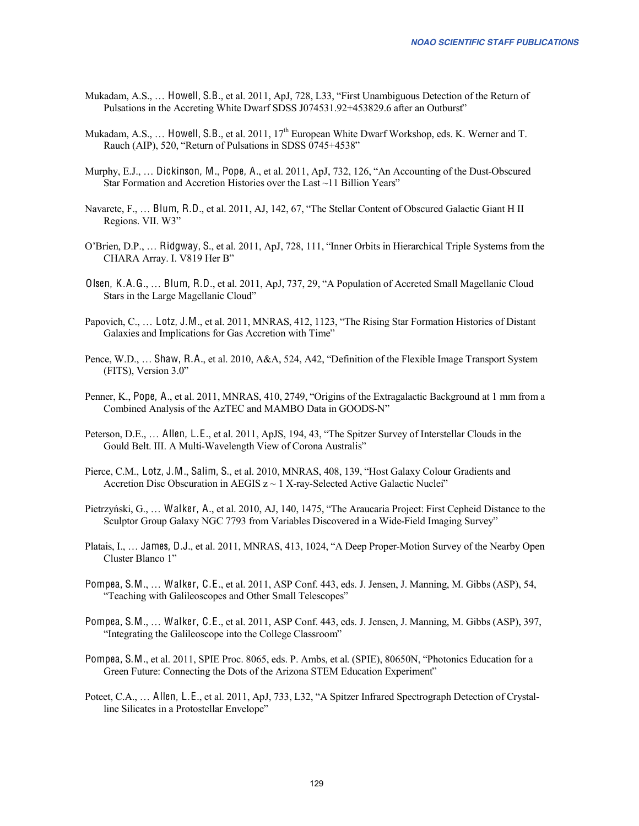- Mukadam, A.S., … Howell, S.B., et al. 2011, ApJ, 728, L33, "First Unambiguous Detection of the Return of Pulsations in the Accreting White Dwarf SDSS J074531.92+453829.6 after an Outburst"
- Mukadam, A.S.,  $\ldots$  Howell, S.B., et al. 2011, 17<sup>th</sup> European White Dwarf Workshop, eds. K. Werner and T. Rauch (AIP), 520, "Return of Pulsations in SDSS 0745+4538"
- Murphy, E.J., … Dickinson, M., Pope, A., et al. 2011, ApJ, 732, 126, "An Accounting of the Dust-Obscured Star Formation and Accretion Histories over the Last ~11 Billion Years"
- Navarete, F., … Blum, R.D., et al. 2011, AJ, 142, 67, "The Stellar Content of Obscured Galactic Giant H II Regions. VII. W3"
- O'Brien, D.P., … Ridgway, S., et al. 2011, ApJ, 728, 111, "Inner Orbits in Hierarchical Triple Systems from the CHARA Array. I. V819 Her B"
- Olsen, K.A.G., … Blum, R.D., et al. 2011, ApJ, 737, 29, "A Population of Accreted Small Magellanic Cloud Stars in the Large Magellanic Cloud"
- Papovich, C., … Lotz, J.M., et al. 2011, MNRAS, 412, 1123, "The Rising Star Formation Histories of Distant Galaxies and Implications for Gas Accretion with Time"
- Pence, W.D., … Shaw, R.A., et al. 2010, A&A, 524, A42, "Definition of the Flexible Image Transport System (FITS), Version 3.0"
- Penner, K., Pope, A., et al. 2011, MNRAS, 410, 2749, "Origins of the Extragalactic Background at 1 mm from a Combined Analysis of the AzTEC and MAMBO Data in GOODS-N"
- Peterson, D.E., … Allen, L.E., et al. 2011, ApJS, 194, 43, "The Spitzer Survey of Interstellar Clouds in the Gould Belt. III. A Multi-Wavelength View of Corona Australis"
- Pierce, C.M., Lotz, J.M., Salim, S., et al. 2010, MNRAS, 408, 139, "Host Galaxy Colour Gradients and Accretion Disc Obscuration in AEGIS  $z \sim 1$  X-ray-Selected Active Galactic Nuclei"
- Pietrzyński, G., … Walker, A., et al. 2010, AJ, 140, 1475, "The Araucaria Project: First Cepheid Distance to the Sculptor Group Galaxy NGC 7793 from Variables Discovered in a Wide-Field Imaging Survey"
- Platais, I., … James, D.J., et al. 2011, MNRAS, 413, 1024, "A Deep Proper-Motion Survey of the Nearby Open Cluster Blanco 1"
- Pompea, S.M., … Walker, C.E., et al. 2011, ASP Conf. 443, eds. J. Jensen, J. Manning, M. Gibbs (ASP), 54, "Teaching with Galileoscopes and Other Small Telescopes"
- Pompea, S.M., … Walker, C.E., et al. 2011, ASP Conf. 443, eds. J. Jensen, J. Manning, M. Gibbs (ASP), 397, "Integrating the Galileoscope into the College Classroom"
- Pompea, S.M., et al. 2011, SPIE Proc. 8065, eds. P. Ambs, et al. (SPIE), 80650N, "Photonics Education for a Green Future: Connecting the Dots of the Arizona STEM Education Experiment"
- Poteet, C.A., … Allen, L.E., et al. 2011, ApJ, 733, L32, "A Spitzer Infrared Spectrograph Detection of Crystalline Silicates in a Protostellar Envelope"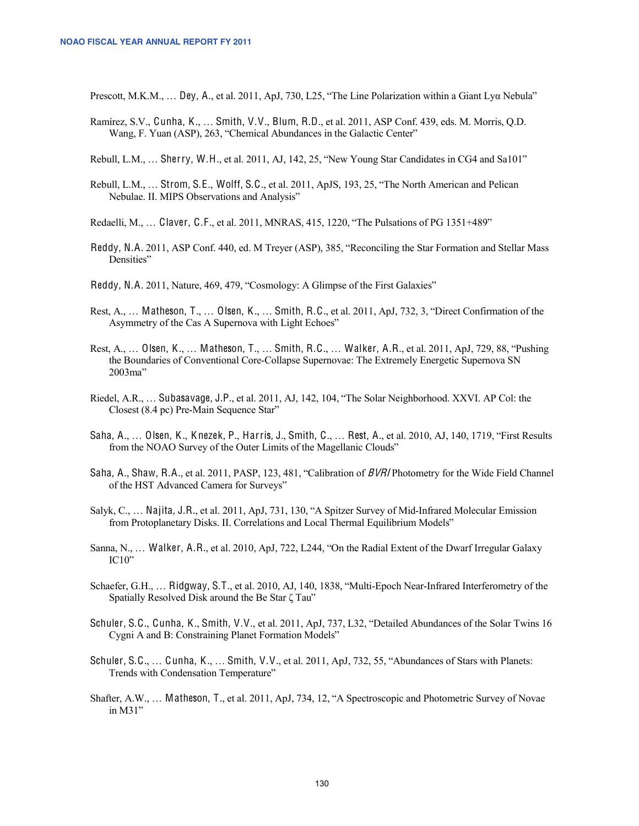Prescott, M.K.M., … Dey, A., et al. 2011, ApJ, 730, L25, "The Line Polarization within a Giant Lyα Nebula"

- Ramírez, S.V., Cunha, K., … Smith, V.V., Blum, R.D., et al. 2011, ASP Conf. 439, eds. M. Morris, Q.D. Wang, F. Yuan (ASP), 263, "Chemical Abundances in the Galactic Center"
- Rebull, L.M., … Sherry, W.H., et al. 2011, AJ, 142, 25, "New Young Star Candidates in CG4 and Sa101"
- Rebull, L.M., … Strom, S.E., Wolff, S.C., et al. 2011, ApJS, 193, 25, "The North American and Pelican Nebulae. II. MIPS Observations and Analysis"
- Redaelli, M., … Claver, C.F., et al. 2011, MNRAS, 415, 1220, "The Pulsations of PG 1351+489"
- Reddy, N.A. 2011, ASP Conf. 440, ed. M Treyer (ASP), 385, "Reconciling the Star Formation and Stellar Mass Densities"
- Reddy, N.A. 2011, Nature, 469, 479, "Cosmology: A Glimpse of the First Galaxies"
- Rest, A., … Matheson, T., … Olsen, K., … Smith, R.C., et al. 2011, ApJ, 732, 3, "Direct Confirmation of the Asymmetry of the Cas A Supernova with Light Echoes"
- Rest, A., … Olsen, K., … Matheson, T., … Smith, R.C., … Walker, A.R., et al. 2011, ApJ, 729, 88, "Pushing the Boundaries of Conventional Core-Collapse Supernovae: The Extremely Energetic Supernova SN 2003ma"
- Riedel, A.R., … Subasavage, J.P., et al. 2011, AJ, 142, 104, "The Solar Neighborhood. XXVI. AP Col: the Closest (8.4 pc) Pre-Main Sequence Star"
- Saha, A., … Olsen, K., K nezek, P., Harris, J., Smith, C., … Rest, A., et al. 2010, AJ, 140, 1719, "First Results from the NOAO Survey of the Outer Limits of the Magellanic Clouds"
- Saha, A., Shaw, R.A., et al. 2011, PASP, 123, 481, "Calibration of BVRI Photometry for the Wide Field Channel of the HST Advanced Camera for Surveys"
- Salyk, C., … Najita, J.R., et al. 2011, ApJ, 731, 130, "A Spitzer Survey of Mid-Infrared Molecular Emission from Protoplanetary Disks. II. Correlations and Local Thermal Equilibrium Models"
- Sanna, N., … Walker, A.R., et al. 2010, ApJ, 722, L244, "On the Radial Extent of the Dwarf Irregular Galaxy IC10"
- Schaefer, G.H., … Ridgway, S.T., et al. 2010, AJ, 140, 1838, "Multi-Epoch Near-Infrared Interferometry of the Spatially Resolved Disk around the Be Star ζ Tau"
- Schuler, S.C., Cunha, K., Smith, V.V., et al. 2011, ApJ, 737, L32, "Detailed Abundances of the Solar Twins 16 Cygni A and B: Constraining Planet Formation Models"
- Schuler, S.C., ... Cunha, K., ... Smith, V.V., et al. 2011, ApJ, 732, 55, "Abundances of Stars with Planets: Trends with Condensation Temperature"
- Shafter, A.W., … Matheson, T., et al. 2011, ApJ, 734, 12, "A Spectroscopic and Photometric Survey of Novae in M31"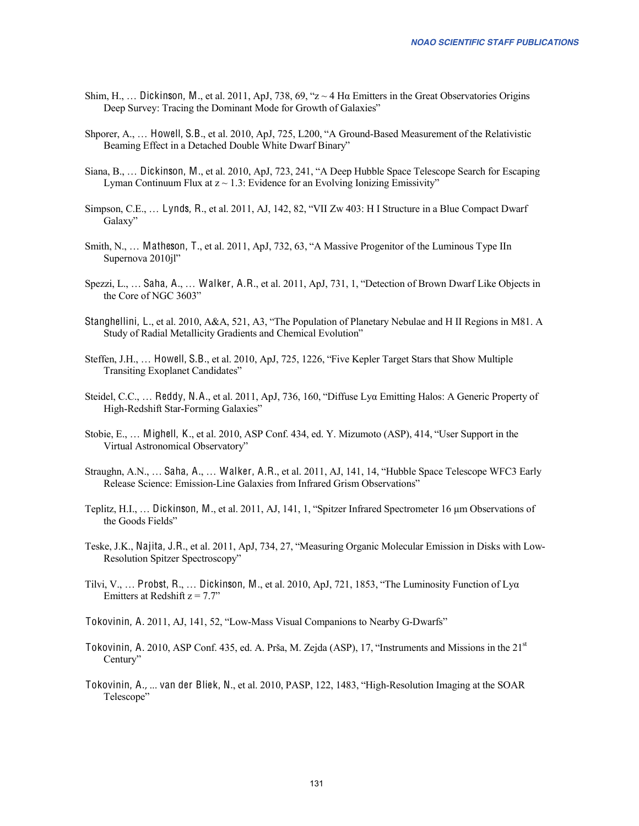- Shim, H., ... Dickinson, M., et al. 2011, ApJ, 738, 69, " $z \sim 4$  H $\alpha$  Emitters in the Great Observatories Origins Deep Survey: Tracing the Dominant Mode for Growth of Galaxies"
- Shporer, A., … Howell, S.B., et al. 2010, ApJ, 725, L200, "A Ground-Based Measurement of the Relativistic Beaming Effect in a Detached Double White Dwarf Binary"
- Siana, B., … Dickinson, M., et al. 2010, ApJ, 723, 241, "A Deep Hubble Space Telescope Search for Escaping Lyman Continuum Flux at  $z \sim 1.3$ : Evidence for an Evolving Ionizing Emissivity"
- Simpson, C.E., … Lynds, R., et al. 2011, AJ, 142, 82, "VII Zw 403: H I Structure in a Blue Compact Dwarf Galaxy"
- Smith, N., … Matheson, T., et al. 2011, ApJ, 732, 63, "A Massive Progenitor of the Luminous Type IIn Supernova 2010jl"
- Spezzi, L., … Saha, A., … Walker, A.R., et al. 2011, ApJ, 731, 1, "Detection of Brown Dwarf Like Objects in the Core of NGC 3603"
- Stanghellini, L., et al. 2010, A&A, 521, A3, "The Population of Planetary Nebulae and H II Regions in M81. A Study of Radial Metallicity Gradients and Chemical Evolution"
- Steffen, J.H., … Howell, S.B., et al. 2010, ApJ, 725, 1226, "Five Kepler Target Stars that Show Multiple Transiting Exoplanet Candidates"
- Steidel, C.C., … Reddy, N.A., et al. 2011, ApJ, 736, 160, "Diffuse Lyα Emitting Halos: A Generic Property of High-Redshift Star-Forming Galaxies"
- Stobie, E., … Mighell, K., et al. 2010, ASP Conf. 434, ed. Y. Mizumoto (ASP), 414, "User Support in the Virtual Astronomical Observatory"
- Straughn, A.N., … Saha, A., … Walker, A.R., et al. 2011, AJ, 141, 14, "Hubble Space Telescope WFC3 Early Release Science: Emission-Line Galaxies from Infrared Grism Observations"
- Teplitz, H.I., … Dickinson, M., et al. 2011, AJ, 141, 1, "Spitzer Infrared Spectrometer 16 μm Observations of the Goods Fields"
- Teske, J.K., Najita, J.R., et al. 2011, ApJ, 734, 27, "Measuring Organic Molecular Emission in Disks with Low-Resolution Spitzer Spectroscopy"
- Tilvi, V., ... Probst, R., ... Dickinson, M., et al. 2010, ApJ, 721, 1853, "The Luminosity Function of Ly $\alpha$ Emitters at Redshift  $z = 7.7$ "
- Tokovinin, A. 2011, AJ, 141, 52, "Low-Mass Visual Companions to Nearby G-Dwarfs"
- Tokovinin, A. 2010, ASP Conf. 435, ed. A. Prša, M. Zejda (ASP), 17, "Instruments and Missions in the 21st Century"
- Tokovinin, A., ... van der Bliek, N., et al. 2010, PASP, 122, 1483, "High-Resolution Imaging at the SOAR Telescope"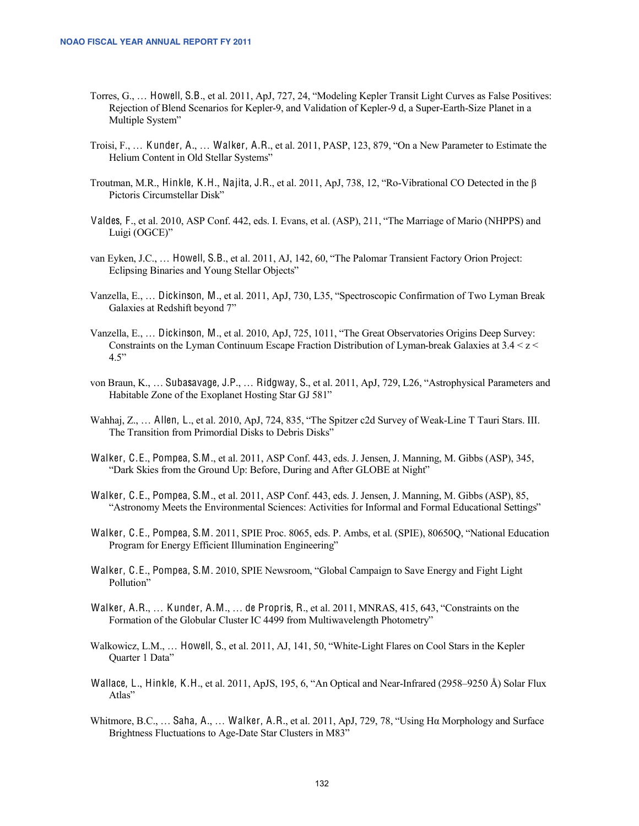- Torres, G., … Howell, S.B., et al. 2011, ApJ, 727, 24, "Modeling Kepler Transit Light Curves as False Positives: Rejection of Blend Scenarios for Kepler-9, and Validation of Kepler-9 d, a Super-Earth-Size Planet in a Multiple System"
- Troisi, F., … K under, A., … Walker, A.R., et al. 2011, PASP, 123, 879, "On a New Parameter to Estimate the Helium Content in Old Stellar Systems"
- Troutman, M.R., Hinkle, K.H., Najita, J.R., et al. 2011, ApJ, 738, 12, "Ro-Vibrational CO Detected in the β Pictoris Circumstellar Disk"
- Valdes, F., et al. 2010, ASP Conf. 442, eds. I. Evans, et al. (ASP), 211, "The Marriage of Mario (NHPPS) and Luigi (OGCE)"
- van Eyken, J.C., … Howell, S.B., et al. 2011, AJ, 142, 60, "The Palomar Transient Factory Orion Project: Eclipsing Binaries and Young Stellar Objects"
- Vanzella, E., … Dickinson, M., et al. 2011, ApJ, 730, L35, "Spectroscopic Confirmation of Two Lyman Break Galaxies at Redshift beyond 7"
- Vanzella, E., … Dickinson, M., et al. 2010, ApJ, 725, 1011, "The Great Observatories Origins Deep Survey: Constraints on the Lyman Continuum Escape Fraction Distribution of Lyman-break Galaxies at  $3.4 < z <$ 4.5"
- von Braun, K., … Subasavage, J.P., … Ridgway, S., et al. 2011, ApJ, 729, L26, "Astrophysical Parameters and Habitable Zone of the Exoplanet Hosting Star GJ 581"
- Wahhaj, Z., … Allen, L., et al. 2010, ApJ, 724, 835, "The Spitzer c2d Survey of Weak-Line T Tauri Stars. III. The Transition from Primordial Disks to Debris Disks"
- Walker, C.E., Pompea, S.M., et al. 2011, ASP Conf. 443, eds. J. Jensen, J. Manning, M. Gibbs (ASP), 345, "Dark Skies from the Ground Up: Before, During and After GLOBE at Night"
- Walker, C.E., Pompea, S.M., et al. 2011, ASP Conf. 443, eds. J. Jensen, J. Manning, M. Gibbs (ASP), 85, "Astronomy Meets the Environmental Sciences: Activities for Informal and Formal Educational Settings"
- Walker, C.E., Pompea, S.M. 2011, SPIE Proc. 8065, eds. P. Ambs, et al. (SPIE), 80650Q, "National Education Program for Energy Efficient Illumination Engineering"
- Walker, C.E., Pompea, S.M. 2010, SPIE Newsroom, "Global Campaign to Save Energy and Fight Light Pollution"
- Walker, A.R., ... Kunder, A.M., ... de Propris, R., et al. 2011, MNRAS, 415, 643, "Constraints on the Formation of the Globular Cluster IC 4499 from Multiwavelength Photometry"
- Walkowicz, L.M., … Howell, S., et al. 2011, AJ, 141, 50, "White-Light Flares on Cool Stars in the Kepler Quarter 1 Data"
- Wallace, L., Hinkle, K.H., et al. 2011, ApJS, 195, 6, "An Optical and Near-Infrared (2958–9250 Å) Solar Flux Atlas"
- Whitmore, B.C., … Saha, A., … Walker, A.R., et al. 2011, ApJ, 729, 78, "Using Hα Morphology and Surface Brightness Fluctuations to Age-Date Star Clusters in M83"